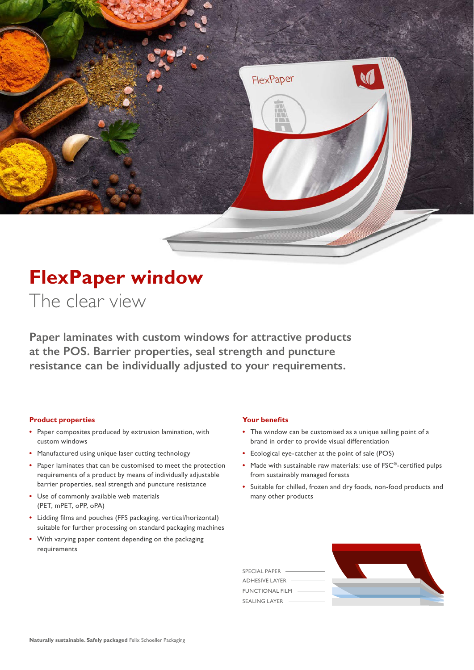

## **FlexPaper window**  The clear view

**Paper laminates with custom windows for attractive products at the POS. Barrier properties, seal strength and puncture resistance can be individually adjusted to your requirements.**

#### **Product properties**

- Paper composites produced by extrusion lamination, with custom windows
- Manufactured using unique laser cutting technology
- Paper laminates that can be customised to meet the protection requirements of a product by means of individually adjustable barrier properties, seal strength and puncture resistance
- Use of commonly available web materials (PET, mPET, oPP, oPA)
- Lidding films and pouches (FFS packaging, vertical/horizontal) suitable for further processing on standard packaging machines
- With varying paper content depending on the packaging requirements

#### **Your benefits**

- The window can be customised as a unique selling point of a brand in order to provide visual differentiation
- Ecological eye-catcher at the point of sale (POS)
- Made with sustainable raw materials: use of FSC®-certified pulps from sustainably managed forests
- Suitable for chilled, frozen and dry foods, non-food products and many other products

| <b>SPECIAL PAPER</b>   |  |
|------------------------|--|
| <b>ADHESIVE LAYER</b>  |  |
| <b>FUNCTIONAL FILM</b> |  |
| <b>SEALING LAYER</b>   |  |